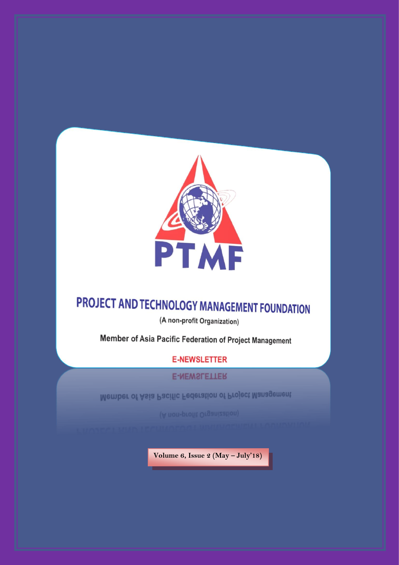

# **PROJECT AND TECHNOLOGY MANAGEMENT FOUNDATION**

(A non-profit Organization)

Member of Asia Pacific Federation of Project Management

**E-NEWSLETTER** 

**E-NEWSLETTER** 

Member of Asia Pacific Federation of Project Management

**Volume 6, Issue 2 (May – July'18)**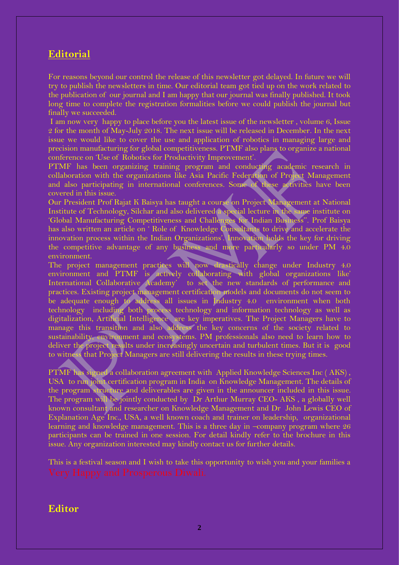### **Editorial**

For reasons beyond our control the release of this newsletter got delayed. In future we will try to publish the newsletters in time. Our editorial team got tied up on the work related to the publication of our journal and I am happy that our journal was finally published. It took long time to complete the registration formalities before we could publish the journal but finally we succeeded.

I am now very happy to place before you the latest issue of the newsletter , volume 6, Issue 2 for the month of May-July 2018. The next issue will be released in December. In the next issue we would like to cover the use and application of robotics in managing large and precision manufacturing for global competitiveness. PTMF also plans to organize a national conference on 'Use of Robotics for Productivity Improvement'.

PTMF has been organizing training program and conducting academic research in collaboration with the organizations like Asia Pacific Federation of Project Management and also participating in international conferences. Some of these activities have been covered in this issue.

Our President Prof Rajat K Baisya has taught a course on Project Management at National Institute of Technology, Silchar and also delivered a special lecture in the same institute on 'Global Manufacturing Competitiveness and Challenges for Indian Business''. Prof Baisya has also written an article on ' Role of Knowledge Consultants to drive and accelerate the innovation process within the Indian Organizations'. Innovation holds the key for driving the competitive advantage of any business and more particularly so under PM 4.0 environment.

The project management practices will now drastically change under Industry 4.0 environment and PTMF is actively collaborating with global organizations like' International Collaborative Academy' to set the new standards of performance and practices. Existing project management certification models and documents do not seem to be adequate enough to address all issues in Industry 4.0 environment when both technology including both process technology and information technology as well as digitalization, Artificial Intelligence are key imperatives. The Project Managers have to manage this transition and also address the key concerns of the society related to sustainability, environment and ecosystems. PM professionals also need to learn how to deliver the project results under increasingly uncertain and turbulent times. But it is good to witness that Project Managers are still delivering the results in these trying times.

PTMF has signed a collaboration agreement with Applied Knowledge Sciences Inc ( AKS) , USA to run joint certification program in India on Knowledge Management. The details of the program structure and deliverables are given in the announcer included in this issue. The program will be jointly conducted by Dr Arthur Murray CEO- AKS , a globally well known consultant and researcher on Knowledge Management and Dr John Lewis CEO of Explanation Age Inc., USA, a well known coach and trainer on leadership, organizational learning and knowledge management. This is a three day in –company program where 26 participants can be trained in one session. For detail kindly refer to the brochure in this issue. Any organization interested may kindly contact us for further details.

This is a festival season and I wish to take this opportunity to wish you and your families a

### **Editor**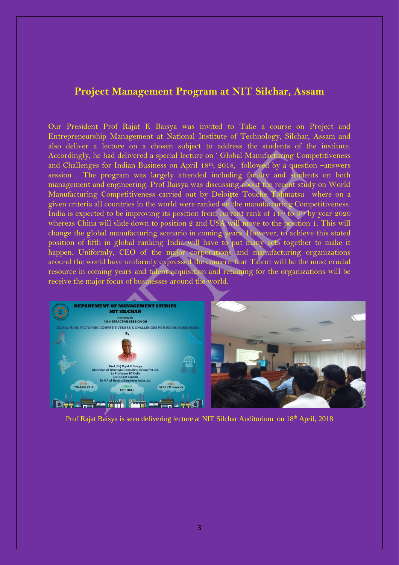# **Project Management Program at NIT Silchar, Assam**

Our President Prof Rajat K Baisya was invited to Take a course on Project and Entrepreneurship Management at National Institute of Technology, Silchar, Assam and also deliver a lecture on a chosen subject to address the students of the institute. Accordingly, he had delivered a special lecture on ' Global Manufacturing Competitiveness and Challenges for Indian Business on April 18th, 2018, followed by a question –answers session . The program was largely attended including faculty and students on both management and engineering. Prof Baisya was discussing about the recent study on World Manufacturing Competitiveness carried out by Deloitte Touche Tohmatsu where on a given criteria all countries in the world were ranked on the manufacturing Competitiveness. India is expected to be improving its position from current rank of  $11<sup>th</sup>$  to  $5<sup>th</sup>$  by year 2020 whereas China will slide down to position 2 and USA will move to the position 1. This will change the global manufacturing scenario in coming years. However, to achieve this stated position of fifth in global ranking India will have to put many acts together to make it happen. Uniformly, CEO of the major corporations and manufacturing organizations around the world have uniformly expressed the concern that Talent will be the most crucial resource in coming years and talent acquisition and retaining for the organizations will be receive the major focus of businesses around the world.



Prof Rajat Baisya is seen delivering lecture at NIT Silchar Auditorium on 18th April, 2018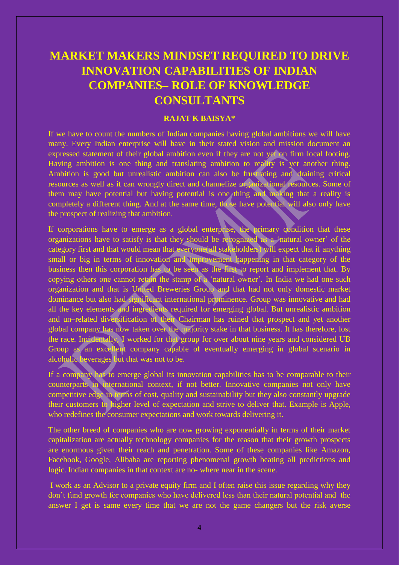# **MARKET MAKERS MINDSET REQUIRED TO DRIVE INNOVATION CAPABILITIES OF INDIAN COMPANIES– ROLE OF KNOWLEDGE CONSULTANTS**

#### **RAJAT K BAISYA\***

If we have to count the numbers of Indian companies having global ambitions we will have many. Every Indian enterprise will have in their stated vision and mission document an expressed statement of their global ambition even if they are not yet on firm local footing. Having ambition is one thing and translating ambition to reality is yet another thing. Ambition is good but unrealistic ambition can also be frustrating and draining critical resources as well as it can wrongly direct and channelize organizational resources. Some of them may have potential but having potential is one thing and making that a reality is completely a different thing. And at the same time, those have potential will also only have the prospect of realizing that ambition.

If corporations have to emerge as a global enterprise, the primary condition that these organizations have to satisfy is that they should be recognized as a 'natural owner' of the category first and that would mean that everyone(all stakeholders) will expect that if anything small or big in terms of innovation and improvement happening in that category of the business then this corporation has to be seen as the first to report and implement that. By copying others one cannot retain the stamp of a 'natural owner'. In India we had one such organization and that is United Breweries Group and that had not only domestic market dominance but also had significant international prominence. Group was innovative and had all the key elements and ingredients required for emerging global. But unrealistic ambition and un–related diversification of their Chairman has ruined that prospect and yet another global company has now taken over the majority stake in that business. It has therefore, lost the race. Incidentally, I worked for that group for over about nine years and considered UB Group as an excellent company capable of eventually emerging in global scenario in alcoholic beverages but that was not to be.

If a company has to emerge global its innovation capabilities has to be comparable to their counterparts in international context, if not better. Innovative companies not only have competitive edge in terms of cost, quality and sustainability but they also constantly upgrade their customers to higher level of expectation and strive to deliver that. Example is Apple, who redefines the consumer expectations and work towards delivering it.

The other breed of companies who are now growing exponentially in terms of their market capitalization are actually technology companies for the reason that their growth prospects are enormous given their reach and penetration. Some of these companies like Amazon, Facebook, Google, Alibaba are reporting phenomenal growth beating all predictions and logic. Indian companies in that context are no- where near in the scene.

I work as an Advisor to a private equity firm and I often raise this issue regarding why they don't fund growth for companies who have delivered less than their natural potential and the answer I get is same every time that we are not the game changers but the risk averse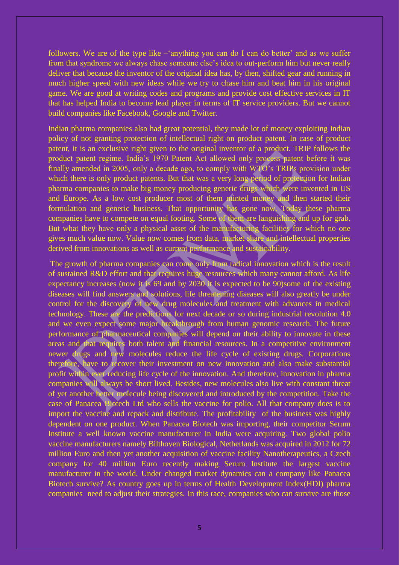followers. We are of the type like –'anything you can do I can do better' and as we suffer from that syndrome we always chase someone else's idea to out-perform him but never really deliver that because the inventor of the original idea has, by then, shifted gear and running in much higher speed with new ideas while we try to chase him and beat him in his original game. We are good at writing codes and programs and provide cost effective services in IT that has helped India to become lead player in terms of IT service providers. But we cannot build companies like Facebook, Google and Twitter.

Indian pharma companies also had great potential, they made lot of money exploiting Indian policy of not granting protection of intellectual right on product patent. In case of product patent, it is an exclusive right given to the original inventor of a product. TRIP follows the product patent regime. India's 1970 Patent Act allowed only process patent before it was finally amended in 2005, only a decade ago, to comply with WTO's TRIPs provision under which there is only product patents. But that was a very long period of protection for Indian pharma companies to make big money producing generic drugs which were invented in US and Europe. As a low cost producer most of them minted money and then started their formulation and generic business. That opportunity has gone now. Today these pharma companies have to compete on equal footing. Some of them are languishing and up for grab. But what they have only a physical asset of the manufacturing facilities for which no one gives much value now. Value now comes from data, market share and intellectual properties derived from innovations as well as current performance and sustainability.

The growth of pharma companies can come only from radical innovation which is the result of sustained R&D effort and that requires huge resources which many cannot afford. As life expectancy increases (now it is 69 and by 2030 it is expected to be 90)some of the existing diseases will find answers and solutions, life threatening diseases will also greatly be under control for the discovery of new drug molecules and treatment with advances in medical technology. These are the predictions for next decade or so during industrial revolution 4.0 and we even expect some major breakthrough from human genomic research. The future performance of pharmaceutical companies will depend on their ability to innovate in these areas and that requires both talent and financial resources. In a competitive environment newer drugs and new molecules reduce the life cycle of existing drugs. Corporations therefore, have to recover their investment on new innovation and also make substantial profit within ever reducing life cycle of the innovation. And therefore, innovation in pharma companies will always be short lived. Besides, new molecules also live with constant threat of yet another better molecule being discovered and introduced by the competition. Take the case of Panacea Biotech Ltd who sells the vaccine for polio. All that company does is to import the vaccine and repack and distribute. The profitability of the business was highly dependent on one product. When Panacea Biotech was importing, their competitor Serum Institute a well known vaccine manufacturer in India were acquiring. Two global polio vaccine manufacturers namely Bilthoven Biological, Netherlands was acquired in 2012 for 72 million Euro and then yet another acquisition of vaccine facility Nanotherapeutics, a Czech company for 40 million Euro recently making Serum Institute the largest vaccine manufacturer in the world. Under changed market dynamics can a company like Panacea Biotech survive? As country goes up in terms of Health Development Index(HDI) pharma companies need to adjust their strategies. In this race, companies who can survive are those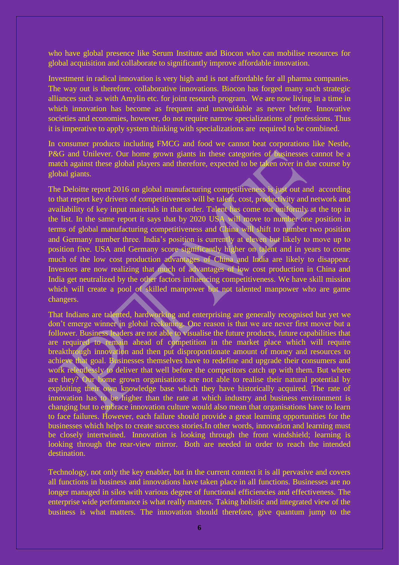who have global presence like Serum Institute and Biocon who can mobilise resources for global acquisition and collaborate to significantly improve affordable innovation.

Investment in radical innovation is very high and is not affordable for all pharma companies. The way out is therefore, collaborative innovations. Biocon has forged many such strategic alliances such as with Amylin etc. for joint research program. We are now living in a time in which innovation has become as frequent and unavoidable as never before. Innovative societies and economies, however, do not require narrow specializations of professions. Thus it is imperative to apply system thinking with specializations are required to be combined.

In consumer products including FMCG and food we cannot beat corporations like Nestle, P&G and Unilever. Our home grown giants in these categories of businesses cannot be a match against these global players and therefore, expected to be taken over in due course by global giants.

The Deloitte report 2016 on global manufacturing competitiveness is just out and according to that report key drivers of competitiveness will be talent, cost, productivity and network and availability of key input materials in that order. Talent has come out uniformly at the top in the list. In the same report it says that by 2020 USA will move to number one position in terms of global manufacturing competitiveness and China will shift to number two position and Germany number three. India's position is currently at eleven but likely to move up to position five. USA and Germany score significantly higher on talent and in years to come much of the low cost production advantages of China and India are likely to disappear. Investors are now realizing that much of advantages of low cost production in China and India get neutralized by the other factors influencing competitiveness. We have skill mission which will create a pool of skilled manpower but not talented manpower who are game changers.

That Indians are talented, hardworking and enterprising are generally recognised but yet we don't emerge winner in global reckoning. One reason is that we are never first mover but a follower. Business leaders are not able to visualise the future products, future capabilities that are required to remain ahead of competition in the market place which will require breakthrough innovation and then put disproportionate amount of money and resources to achieve that goal. Businesses themselves have to redefine and upgrade their consumers and work relentlessly to deliver that well before the competitors catch up with them. But where are they? Our home grown organisations are not able to realise their natural potential by exploiting their own knowledge base which they have historically acquired. The rate of innovation has to be higher than the rate at which industry and business environment is changing but to embrace innovation culture would also mean that organisations have to learn to face failures. However, each failure should provide a great learning opportunities for the businesses which helps to create success stories.In other words, innovation and learning must be closely intertwined. Innovation is looking through the front windshield; learning is looking through the rear-view mirror. Both are needed in order to reach the intended destination.

Technology, not only the key enabler, but in the current context it is all pervasive and covers all functions in business and innovations have taken place in all functions. Businesses are no longer managed in silos with various degree of functional efficiencies and effectiveness. The enterprise wide performance is what really matters. Taking holistic and integrated view of the business is what matters. The innovation should therefore, give quantum jump to the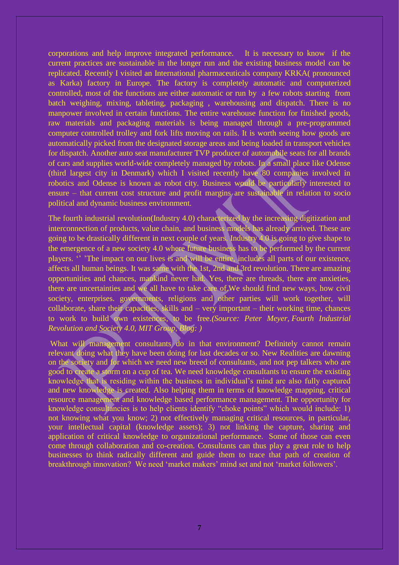corporations and help improve integrated performance. It is necessary to know if the current practices are sustainable in the longer run and the existing business model can be replicated. Recently I visited an International pharmaceuticals company KRKA( pronounced as Karka) factory in Europe. The factory is completely automatic and computerized controlled, most of the functions are either automatic or run by a few robots starting from batch weighing, mixing, tableting, packaging , warehousing and dispatch. There is no manpower involved in certain functions. The entire warehouse function for finished goods, raw materials and packaging materials is being managed through a pre-programmed computer controlled trolley and fork lifts moving on rails. It is worth seeing how goods are automatically picked from the designated storage areas and being loaded in transport vehicles for dispatch. Another auto seat manufacturer TVP producer of automobile seats for all brands of cars and supplies world-wide completely managed by robots. In a small place like Odense (third largest city in Denmark) which I visited recently have 80 companies involved in robotics and Odense is known as robot city. Business would be particularly interested to ensure – that current cost structure and profit margins are sustainable in relation to socio political and dynamic business environment.

The fourth industrial revolution(Industry 4.0) characterized by the increasing digitization and interconnection of products, value chain, and business models has already arrived. These are going to be drastically different in next couple of years. Industry 4.0 is going to give shape to the emergence of a new society 4.0 where future business has to be performed by the current players. '' 'The impact on our lives is and will be entire, includes all parts of our existence, affects all human beings. It was same with the 1st, 2nd and 3rd revolution. There are amazing opportunities and chances, mankind never had. Yes, there are threads, there are anxieties, there are uncertainties and we all have to take care of.We should find new ways, how civil society, enterprises. governments, religions and other parties will work together, will collaborate, share their capacities, skills and – very important – their working time, chances to work to build own existences, to be free*.(Source: Peter Meyer, Fourth Industrial Revolution and Society 4.0, MIT Group, Blog: [\)](https://www.mit-group.ch/en/fourth-industrial-revolution-society-4-0/)*

What will management consultants do in that environment? Definitely cannot remain relevant doing what they have been doing for last decades or so. New Realities are dawning on the society and for which we need new breed of consultants, and not pep talkers who are good to create a storm on a cup of tea. We need knowledge consultants to ensure the existing knowledge that is residing within the business in individual's mind are also fully captured and new knowledge is created. Also helping them in terms of knowledge mapping, critical resource management and knowledge based performance management. The opportunity for knowledge consultancies is to help clients identify "choke points" which would include: 1) not knowing what you know; 2) not effectively managing critical resources, in particular, your intellectual capital (knowledge assets); 3) not linking the capture, sharing and application of critical knowledge to organizational performance. Some of those can even come through collaboration and co-creation. Consultants can thus play a great role to help businesses to think radically different and guide them to trace that path of creation of breakthrough innovation? We need 'market makers' mind set and not 'market followers'.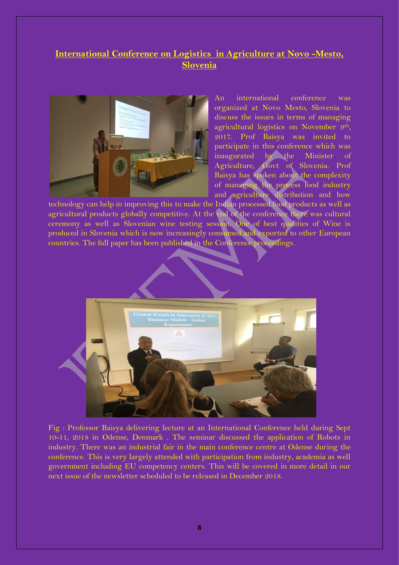## **International Conference on Logistics in Agriculture at Novo -Mesto, Slovenia**



An international conference was organized at Novo Mesto, Slovenia to discuss the issues in terms of managing agricultural logistics on November 9th, 2017. Prof Baisya was invited to participate in this conference which was inaugurated by the Minister of Agriculture, Govt of Slovenia. Prof Baisya has spoken about the complexity of managing the process food industry and agriculture distribution and how

technology can help in improving this to make the Indian processed food products as well as agricultural products globally competitive. At the end of the conference there was cultural ceremony as well as Slovenian wine testing session. One of best qualities of Wine is produced in Slovenia which is now increasingly consumed and exported to other European countries. The full paper has been published in the Conference proceedings.



Fig : Professor Baisya delivering lecture at an International Conference held during Sept 10-11, 2018 in Odense, Denmark . The seminar discussed the application of Robots in industry. There was an industrial fair in the main conference centre at Odense during the conference. This is very largely attended with participation from industry, academia as well government including EU competency centers. This will be covered in more detail in our next issue of the newsletter scheduled to be released in December 2018.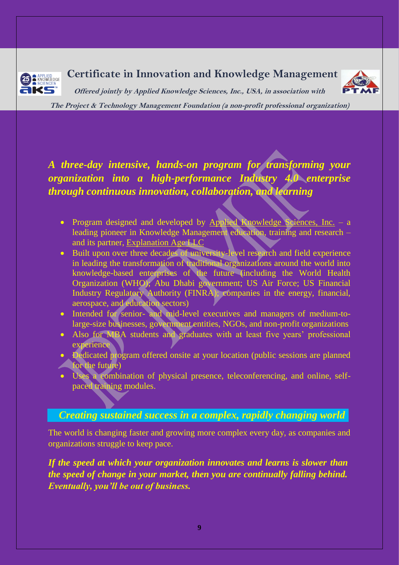

# **Certificate in Innovation and Knowledge Management**



**Offered jointly by Applied Knowledge Sciences, Inc., USA, in association with**

**The Project & Technology Management Foundation (a non-profit professional organization)**

*A three-day intensive, hands-on program for transforming your organization into a high-performance Industry 4.0 enterprise through continuous innovation, collaboration, and learning*

- Program designed and developed by [Applied Knowledge Sciences, Inc.](http://aksciences.com/)  $-$  a leading pioneer in Knowledge Management education, training and research – and its partner, [Explanation Age LLC](http://www.explanationage.com/)
- Built upon over three decades of university-level research and field experience in leading the transformation of traditional organizations around the world into knowledge-based enterprises of the future (including the World Health Organization (WHO); Abu Dhabi government; US Air Force; US Financial Industry Regulatory Authority (FINRA); companies in the energy, financial, aerospace, and education sectors)
- Intended for senior- and mid-level executives and managers of medium-tolarge-size businesses, government entities, NGOs, and non-profit organizations
- Also for MBA students and graduates with at least five years' professional experience
- Dedicated program offered onsite at your location (public sessions are planned for the future)
- Uses a combination of physical presence, teleconferencing, and online, selfpaced training modules.

# *Creating sustained success in a complex, rapidly changing world*

The world is changing faster and growing more complex every day, as companies and organizations struggle to keep pace.

*If the speed at which your organization innovates and learns is slower than the speed of change in your market, then you are continually falling behind. Eventually, you'll be out of business.*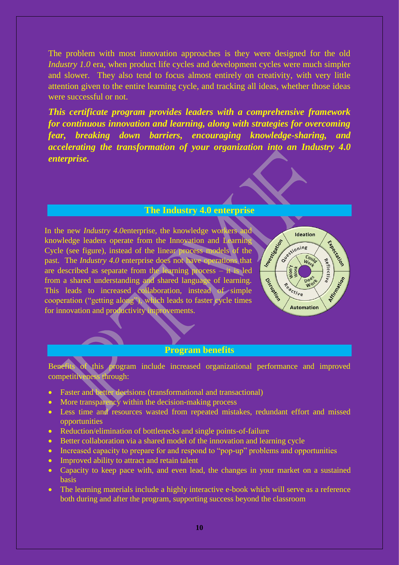The problem with most innovation approaches is they were designed for the old *Industry 1.0* era, when product life cycles and development cycles were much simpler and slower. They also tend to focus almost entirely on creativity, with very little attention given to the entire learning cycle, and tracking all ideas, whether those ideas were successful or not.

*This certificate program provides leaders with a comprehensive framework for continuous innovation and learning, along with strategies for overcoming fear, breaking down barriers, encouraging knowledge-sharing, and accelerating the transformation of your organization into an Industry 4.0 enterprise.*

#### **The Industry 4.0 enterprise**

In the new *Industry 4.0*enterprise, the knowledge workers and knowledge leaders operate from the Innovation and Learning Cycle (see figure), instead of the linear process models of the past. The *Industry 4.0* enterprise does not have operations that are described as separate from the learning process – it is led from a shared understanding and shared language of learning. This leads to increased collaboration, instead of simple cooperation ("getting along"), which leads to faster cycle times for innovation and productivity improvements.



#### **Program benefits**

Benefits of this program include increased organizational performance and improved competitiveness through:

- Faster and better decisions (transformational and transactional)
- More transparency within the decision-making process
- Less time and resources wasted from repeated mistakes, redundant effort and missed opportunities
- Reduction/elimination of bottlenecks and single points-of-failure
- Better collaboration via a shared model of the innovation and learning cycle
- Increased capacity to prepare for and respond to "pop-up" problems and opportunities
- Improved ability to attract and retain talent
- Capacity to keep pace with, and even lead, the changes in your market on a sustained basis
- The learning materials include a highly interactive e-book which will serve as a reference both during and after the program, supporting success beyond the classroom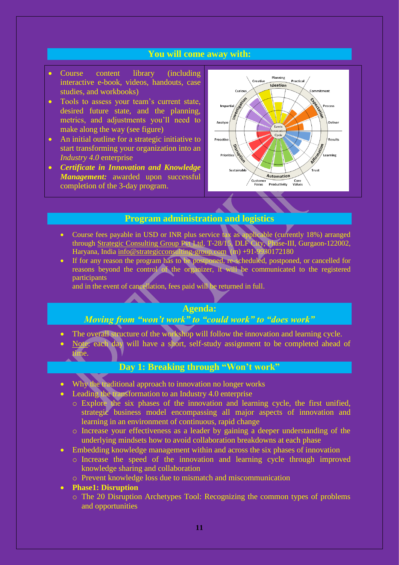#### **You will come away with:**

- Course content library (including interactive e-book, videos, handouts, case studies, and workbooks)
- Tools to assess your team's current state, desired future state, and the planning, metrics, and adjustments you'll need to make along the way (see figure)
- An initial outline for a strategic initiative to start transforming your organization into an *Industry 4.0* enterprise
- *Certificate in Innovation and Knowledge Management:* awarded upon successful completion of the 3-day program.



#### **Program administration and logistics**

- Course fees payable in USD or INR plus service tax as applicable (currently 18%) arranged through [Strategic Consulting Group Pvt Ltd,](http://strategicconsulting-group.com/) T-28/15, DLF City, Phase-III, Gurgaon-122002, Haryana, India [info@strategicconsulting-group.com](mailto:info@strategicconsulting-group.com) (m) +91-9930172180
- If for any reason the program has to be postponed, re-scheduled, postponed, or cancelled for reasons beyond the control of the organizer, it will be communicated to the registered participants
	- and in the event of cancellation, fees paid will be returned in full.

#### **Agenda:**

#### *Moving from "won't work" to "could work" to "does work"*

- The overall structure of the workshop will follow the innovation and learning cycle.
- Note: each day will have a short, self-study assignment to be completed ahead of time.

#### **Day 1: Breaking through "Won't work"**

- Why the traditional approach to innovation no longer works
- Leading the transformation to an Industry 4.0 enterprise
	- o Explore the six phases of the innovation and learning cycle, the first unified, strategic business model encompassing all major aspects of innovation and learning in an environment of continuous, rapid change
	- o Increase your effectiveness as a leader by gaining a deeper understanding of the underlying mindsets how to avoid collaboration breakdowns at each phase
- Embedding knowledge management within and across the six phases of innovation
	- o Increase the speed of the innovation and learning cycle through improved knowledge sharing and collaboration
	- o Prevent knowledge loss due to mismatch and miscommunication

#### • **Phase1: Disruption**

o The 20 Disruption Archetypes Tool: Recognizing the common types of problems and opportunities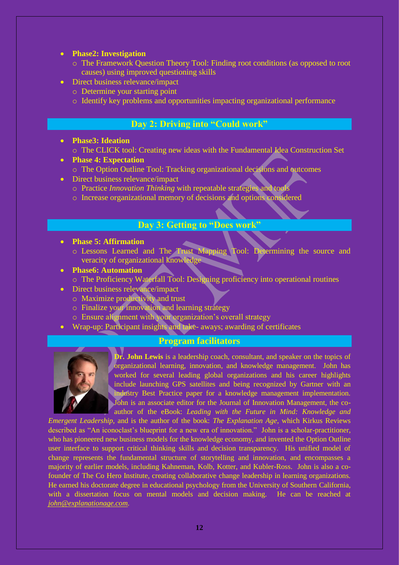#### • **Phase2: Investigation**

- o The Framework Question Theory Tool: Finding root conditions (as opposed to root causes) using improved questioning skills
- Direct business relevance/impact
	- o Determine your starting point
	- o Identify key problems and opportunities impacting organizational performance

### **Day 2: Driving into "Could work"**

- **Phase3: Ideation** o The CLICK tool: Creating new ideas with the Fundamental Idea Construction Set
- **Phase 4: Expectation** o The Option Outline Tool: Tracking organizational decisions and outcomes
- Direct business relevance/impact
	- o Practice *Innovation Thinking* with repeatable strategies and tools
	- o Increase organizational memory of decisions and options considered

### **Day 3: Getting to "Does work"**

- **Phase 5: Affirmation**
	- o Lessons Learned and The Trust Mapping Tool: Determining the source and veracity of organizational knowledge
- **Phase6: Automation**
	- o The Proficiency Waterfall Tool: Designing proficiency into operational routines
- Direct business relevance/impact
	- o Maximize productivity and trust
	- o Finalize your innovation and learning strategy
	- o Ensure alignment with your organization's overall strategy
- Wrap-up: Participant insights and take- aways; awarding of certificates

#### **Program facilitators**



**Dr. John Lewis** is a leadership coach, consultant, and speaker on the topics of organizational learning, innovation, and knowledge management. John has worked for several leading global organizations and his career highlights include launching GPS satellites and being recognized by Gartner with an industry Best Practice paper for a knowledge management implementation. John is an associate editor for the Journal of Innovation Management, the coauthor of the eBook: *Leading with the Future in Mind: Knowledge and* 

*Emergent Leadership*, and is the author of the book: *The Explanation Age*, which Kirkus Reviews described as "An iconoclast's blueprint for a new era of innovation." John is a scholar-practitioner, who has pioneered new business models for the knowledge economy, and invented the Option Outline user interface to support critical thinking skills and decision transparency. His unified model of change represents the fundamental structure of storytelling and innovation, and encompasses a majority of earlier models, including Kahneman, Kolb, Kotter, and Kubler-Ross. John is also a cofounder of The Co Hero Institute, creating collaborative change leadership in learning organizations. He earned his doctorate degree in educational psychology from the University of Southern California, with a dissertation focus on mental models and decision making. He can be reached at *[john@explanationage.com.](mailto:john@explanationage.com)*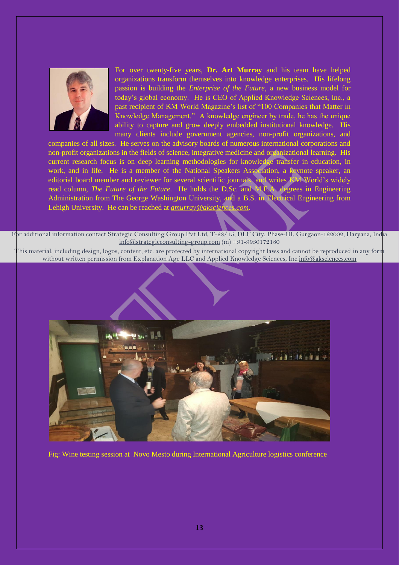

For over twenty-five years, **Dr. Art Murray** and his team have helped organizations transform themselves into knowledge enterprises. His lifelong passion is building the *Enterprise of the Future*, a new business model for today's global economy. He is CEO of Applied Knowledge Sciences, Inc., a past recipient of KM World Magazine's list of "100 Companies that Matter in Knowledge Management." A knowledge engineer by trade, he has the unique ability to capture and grow deeply embedded institutional knowledge. His many clients include government agencies, non-profit organizations, and

companies of all sizes. He serves on the advisory boards of numerous international corporations and non-profit organizations in the fields of science, integrative medicine and organizational learning. His current research focus is on deep learning methodologies for knowledge transfer in education, in work, and in life. He is a member of the National Speakers Association, a keynote speaker, an editorial board member and reviewer for several scientific journals, and writes KM World's widely read column, *The Future of the Future*. He holds the D.Sc. and M.E.A. degrees in Engineering Administration from The George Washington University, and a B.S. in Electrical Engineering from Lehigh University. He can be reached at *[amurray@aksciences.com](mailto:amurray@aksciences.com)*.

For additional information contact Strategic Consulting Group Pvt Ltd, T-28/15, DLF City, Phase-III, Gurgaon-122002, Haryana, India  $info@strategicconsulting-group.com (m) +91-9930172180$  $info@strategicconsulting-group.com (m) +91-9930172180$ 

This material, including design, logos, content, etc. are protected by international copyright laws and cannot be reproduced in any form without written permission from Explanation Age LLC and Applied Knowledge Sciences, Inc[.info@aksciences.com](mailto:info@aksciences.com)



Fig: Wine testing session at Novo Mesto during International Agriculture logistics conference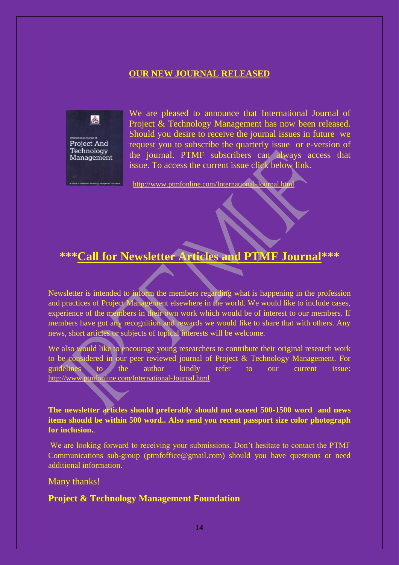#### **OUR NEW JOURNAL RELEASED**



We are pleased to announce that International Journal of Project & Technology Management has now been released. Should you desire to receive the journal issues in future we request you to subscribe the quarterly issue or e-version of the journal. PTMF subscribers can always access that issue. To access the current issue click below link.

<http://www.ptmfonline.com/International-Journal.html>

# **\*\*\*Call for Newsletter Articles and PTMF Journal\*\*\***

Newsletter is intended to inform the members regarding what is happening in the profession and practices of Project Management elsewhere in the world. We would like to include cases, experience of the members in their own work which would be of interest to our members. If members have got any recognition and rewards we would like to share that with others. Any news, short articles or subjects of topical interests will be welcome.

We also would like to encourage young researchers to contribute their original research work to be considered in our peer reviewed journal of Project & Technology Management. For guidelines to the author kindly refer to our current issue: <http://www.ptmfonline.com/International-Journal.html>

**The newsletter articles should preferably should not exceed 500-1500 word and news items should be within 500 word.. Also send you recent passport size color photograph for inclusion.**.

We are looking forward to receiving your submissions. Don't hesitate to contact the PTMF Communications sub-group (ptmfoffice@gmail.com) should you have questions or need additional information.

Many thanks!

#### **Project & Technology Management Foundation**